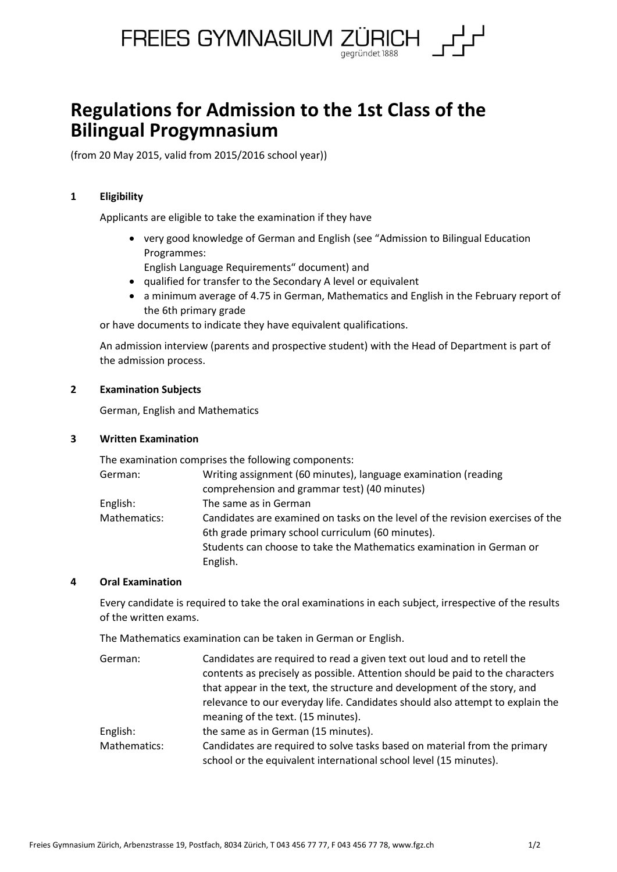

# **Regulations for Admission to the 1st Class of the Bilingual Progymnasium**

(from 20 May 2015, valid from 2015/2016 school year))

## **1 Eligibility**

Applicants are eligible to take the examination if they have

- very good knowledge of German and English (see "Admission to Bilingual Education Programmes:
	- English Language Requirements" document) and
- qualified for transfer to the Secondary A level or equivalent
- a minimum average of 4.75 in German, Mathematics and English in the February report of the 6th primary grade

or have documents to indicate they have equivalent qualifications.

An admission interview (parents and prospective student) with the Head of Department is part of the admission process.

## **2 Examination Subjects**

German, English and Mathematics

## **3 Written Examination**

The examination comprises the following components:

| Writing assignment (60 minutes), language examination (reading                 |
|--------------------------------------------------------------------------------|
| comprehension and grammar test) (40 minutes)                                   |
| The same as in German                                                          |
| Candidates are examined on tasks on the level of the revision exercises of the |
| 6th grade primary school curriculum (60 minutes).                              |
| Students can choose to take the Mathematics examination in German or           |
| English.                                                                       |
|                                                                                |

## **4 Oral Examination**

Every candidate is required to take the oral examinations in each subject, irrespective of the results of the written exams.

The Mathematics examination can be taken in German or English.

| German:      | Candidates are required to read a given text out loud and to retell the       |
|--------------|-------------------------------------------------------------------------------|
|              | contents as precisely as possible. Attention should be paid to the characters |
|              | that appear in the text, the structure and development of the story, and      |
|              | relevance to our everyday life. Candidates should also attempt to explain the |
|              | meaning of the text. (15 minutes).                                            |
| English:     | the same as in German (15 minutes).                                           |
| Mathematics: | Candidates are required to solve tasks based on material from the primary     |
|              | school or the equivalent international school level (15 minutes).             |